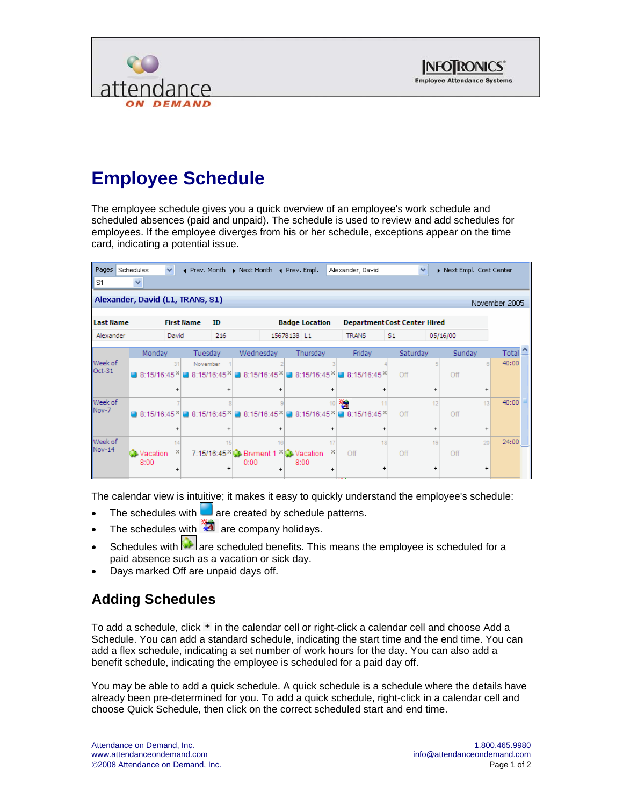



# **Employee Schedule**

The employee schedule gives you a quick overview of an employee's work schedule and scheduled absences (paid and unpaid). The schedule is used to review and add schedules for employees. If the employee diverges from his or her schedule, exceptions appear on the time card, indicating a potential issue.

| Pages                                             | Schedules                 | $\checkmark$ | ◀ Prev. Month     |                 |            |                 | Next Month 4 Prev. Empl.                      |                 | Alexander, David                                                             |                | $\checkmark$    | Next Empl. Cost Center |                 |       |  |
|---------------------------------------------------|---------------------------|--------------|-------------------|-----------------|------------|-----------------|-----------------------------------------------|-----------------|------------------------------------------------------------------------------|----------------|-----------------|------------------------|-----------------|-------|--|
| S1                                                | $\checkmark$              |              |                   |                 |            |                 |                                               |                 |                                                                              |                |                 |                        |                 |       |  |
| Alexander, David (L1, TRANS, S1)<br>November 2005 |                           |              |                   |                 |            |                 |                                               |                 |                                                                              |                |                 |                        |                 |       |  |
| <b>Last Name</b>                                  |                           |              | <b>First Name</b> | ID              |            |                 | <b>Badge Location</b>                         |                 | <b>Department Cost Center Hired</b>                                          |                |                 |                        |                 |       |  |
| Alexander                                         |                           | David        | 216               |                 |            |                 | 15678138 L1                                   |                 | <b>TRANS</b>                                                                 | S <sub>1</sub> |                 | 05/16/00               |                 |       |  |
|                                                   | Monday                    |              | Tuesday           |                 | Wednesday  |                 | Thursday                                      |                 | Friday                                                                       | Saturday       |                 | Sunday                 |                 | Total |  |
| Week of<br>Oct-31                                 | 8:15/16:45 × 3:15/16:45 × | 31           | November          |                 | 8:15/16:45 |                 |                                               |                 | 8:15/16:45 8:15/16:45 ×                                                      | Off            |                 | Off                    | $\mathsf{R}$    | 40:00 |  |
|                                                   |                           | $\div$       |                   | ÷               |            | $\ddot{}$       |                                               | ÷               | $\ddot{}$                                                                    |                |                 |                        | $\ddot{}$       |       |  |
| Week of<br>Nov-7                                  |                           |              |                   |                 |            |                 |                                               | 10 <sub>1</sub> | 磷<br>11<br>■ 8:15/16:45지금 8:15/16:45지금 8:15/16:45지금 8:15/16:45지금 8:15/16:45지 | Off            | 12              | Off                    | 13              | 40:00 |  |
|                                                   |                           |              |                   | $\ddot{}$       |            | $\ddot{}$       |                                               |                 | $\ddot{}$                                                                    |                | +               |                        | $\ddot{}$       |       |  |
| Week of<br><b>Nov-14</b>                          | <b>O</b> Vacation<br>8:00 | 14           |                   | 15<br>$\ddot{}$ | 0:00       | 16<br>$\ddot{}$ | 7:15/16:45 \\ Bryment 1 \\ \ Vacation<br>8:00 | 17              | 18<br>Off<br>+                                                               | Off            | 19<br>$\ddot{}$ | Off                    | 20<br>$\ddot{}$ | 24:00 |  |

The calendar view is intuitive; it makes it easy to quickly understand the employee's schedule:

- The schedules with  $\Box$  are created by schedule patterns.
- The schedules with  $\ddot{a}$  are company holidays.
- Schedules with **a re** scheduled benefits. This means the employee is scheduled for a paid absence such as a vacation or sick day.
- Days marked Off are unpaid days off.

## **Adding Schedules**

To add a schedule, click  $\pm$  in the calendar cell or right-click a calendar cell and choose Add a Schedule. You can add a standard schedule, indicating the start time and the end time. You can add a flex schedule, indicating a set number of work hours for the day. You can also add a benefit schedule, indicating the employee is scheduled for a paid day off.

You may be able to add a quick schedule. A quick schedule is a schedule where the details have already been pre-determined for you. To add a quick schedule, right-click in a calendar cell and choose Quick Schedule, then click on the correct scheduled start and end time.